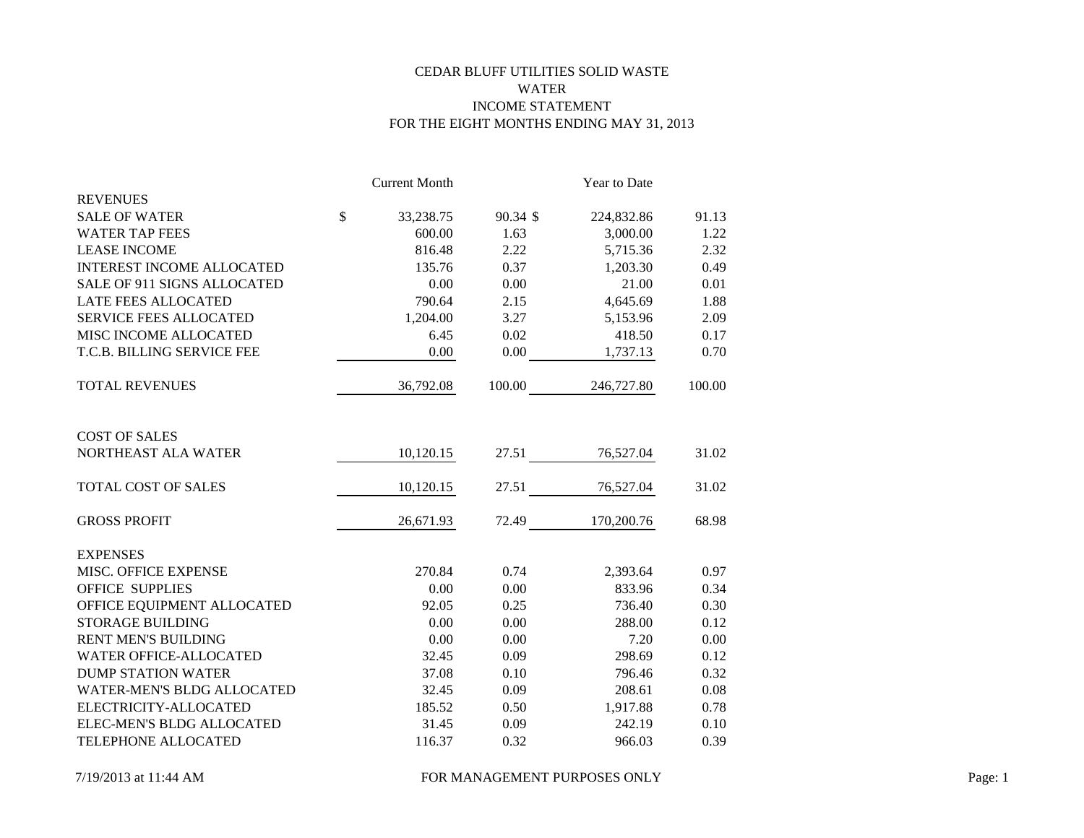# CEDAR BLUFF UTILITIES SOLID WASTE WATER INCOME STATEMENT FOR THE EIGHT MONTHS ENDING MAY 31, 2013

|                                  |               | <b>Current Month</b> |          | Year to Date      |        |
|----------------------------------|---------------|----------------------|----------|-------------------|--------|
| <b>REVENUES</b>                  |               |                      |          |                   |        |
| <b>SALE OF WATER</b>             | $\mathcal{S}$ | 33,238.75            | 90.34 \$ | 224,832.86        | 91.13  |
| <b>WATER TAP FEES</b>            |               | 600.00               | 1.63     | 3,000.00          | 1.22   |
| <b>LEASE INCOME</b>              |               | 816.48               | 2.22     | 5,715.36          | 2.32   |
| <b>INTEREST INCOME ALLOCATED</b> |               | 135.76               | 0.37     | 1,203.30          | 0.49   |
| SALE OF 911 SIGNS ALLOCATED      |               | 0.00                 | 0.00     | 21.00             | 0.01   |
| LATE FEES ALLOCATED              |               | 790.64               | 2.15     | 4,645.69          | 1.88   |
| <b>SERVICE FEES ALLOCATED</b>    |               | 1,204.00             | 3.27     | 5,153.96          | 2.09   |
| MISC INCOME ALLOCATED            |               | 6.45                 | 0.02     | 418.50            | 0.17   |
| T.C.B. BILLING SERVICE FEE       |               | 0.00                 | 0.00     | 1,737.13          | 0.70   |
| <b>TOTAL REVENUES</b>            |               | 36,792.08            |          | 100.00 246,727.80 | 100.00 |
| <b>COST OF SALES</b>             |               |                      |          |                   |        |
| NORTHEAST ALA WATER              |               | 10,120.15            |          | 27.51 76,527.04   | 31.02  |
| TOTAL COST OF SALES              |               | 10,120.15            |          | 27.51 76,527.04   | 31.02  |
| <b>GROSS PROFIT</b>              |               | 26,671.93            |          | 72.49 170,200.76  | 68.98  |
| <b>EXPENSES</b>                  |               |                      |          |                   |        |
| MISC. OFFICE EXPENSE             |               | 270.84               | 0.74     | 2,393.64          | 0.97   |
| <b>OFFICE SUPPLIES</b>           |               | 0.00                 | 0.00     | 833.96            | 0.34   |
| OFFICE EQUIPMENT ALLOCATED       |               | 92.05                | 0.25     | 736.40            | 0.30   |
| <b>STORAGE BUILDING</b>          |               | 0.00                 | 0.00     | 288.00            | 0.12   |
| <b>RENT MEN'S BUILDING</b>       |               | 0.00                 | 0.00     | 7.20              | 0.00   |
| <b>WATER OFFICE-ALLOCATED</b>    |               | 32.45                | 0.09     | 298.69            | 0.12   |
| <b>DUMP STATION WATER</b>        |               | 37.08                | 0.10     | 796.46            | 0.32   |
| WATER-MEN'S BLDG ALLOCATED       |               | 32.45                | 0.09     | 208.61            | 0.08   |
| ELECTRICITY-ALLOCATED            |               | 185.52               | 0.50     | 1,917.88          | 0.78   |
| ELEC-MEN'S BLDG ALLOCATED        |               | 31.45                | 0.09     | 242.19            | 0.10   |
| TELEPHONE ALLOCATED              |               | 116.37               | 0.32     | 966.03            | 0.39   |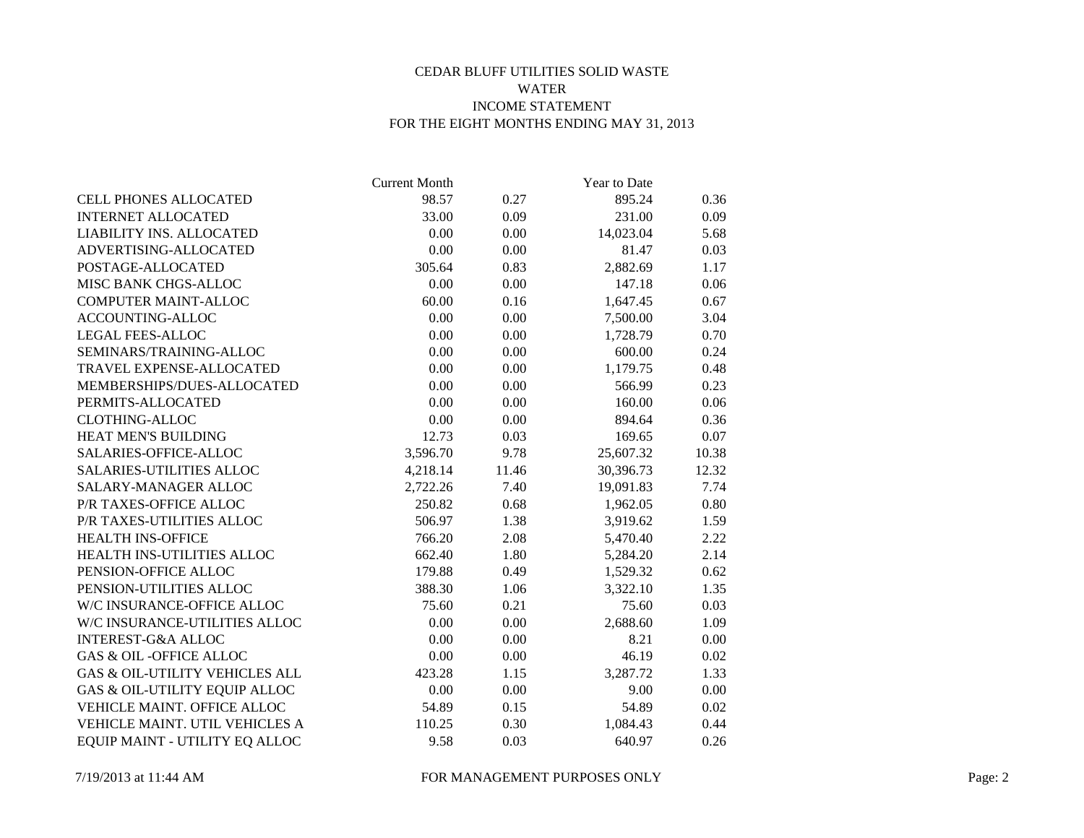# CEDAR BLUFF UTILITIES SOLID WASTE WATER INCOME STATEMENT FOR THE EIGHT MONTHS ENDING MAY 31, 2013

|                                   | <b>Current Month</b> |       | Year to Date |       |
|-----------------------------------|----------------------|-------|--------------|-------|
| <b>CELL PHONES ALLOCATED</b>      | 98.57                | 0.27  | 895.24       | 0.36  |
| <b>INTERNET ALLOCATED</b>         | 33.00                | 0.09  | 231.00       | 0.09  |
| LIABILITY INS. ALLOCATED          | 0.00                 | 0.00  | 14,023.04    | 5.68  |
| ADVERTISING-ALLOCATED             | 0.00                 | 0.00  | 81.47        | 0.03  |
| POSTAGE-ALLOCATED                 | 305.64               | 0.83  | 2,882.69     | 1.17  |
| MISC BANK CHGS-ALLOC              | 0.00                 | 0.00  | 147.18       | 0.06  |
| <b>COMPUTER MAINT-ALLOC</b>       | 60.00                | 0.16  | 1,647.45     | 0.67  |
| ACCOUNTING-ALLOC                  | 0.00                 | 0.00  | 7,500.00     | 3.04  |
| <b>LEGAL FEES-ALLOC</b>           | 0.00                 | 0.00  | 1,728.79     | 0.70  |
| SEMINARS/TRAINING-ALLOC           | 0.00                 | 0.00  | 600.00       | 0.24  |
| TRAVEL EXPENSE-ALLOCATED          | 0.00                 | 0.00  | 1,179.75     | 0.48  |
| MEMBERSHIPS/DUES-ALLOCATED        | 0.00                 | 0.00  | 566.99       | 0.23  |
| PERMITS-ALLOCATED                 | 0.00                 | 0.00  | 160.00       | 0.06  |
| <b>CLOTHING-ALLOC</b>             | 0.00                 | 0.00  | 894.64       | 0.36  |
| HEAT MEN'S BUILDING               | 12.73                | 0.03  | 169.65       | 0.07  |
| SALARIES-OFFICE-ALLOC             | 3,596.70             | 9.78  | 25,607.32    | 10.38 |
| <b>SALARIES-UTILITIES ALLOC</b>   | 4,218.14             | 11.46 | 30,396.73    | 12.32 |
| SALARY-MANAGER ALLOC              | 2,722.26             | 7.40  | 19,091.83    | 7.74  |
| P/R TAXES-OFFICE ALLOC            | 250.82               | 0.68  | 1,962.05     | 0.80  |
| P/R TAXES-UTILITIES ALLOC         | 506.97               | 1.38  | 3,919.62     | 1.59  |
| <b>HEALTH INS-OFFICE</b>          | 766.20               | 2.08  | 5,470.40     | 2.22  |
| HEALTH INS-UTILITIES ALLOC        | 662.40               | 1.80  | 5,284.20     | 2.14  |
| PENSION-OFFICE ALLOC              | 179.88               | 0.49  | 1,529.32     | 0.62  |
| PENSION-UTILITIES ALLOC           | 388.30               | 1.06  | 3,322.10     | 1.35  |
| W/C INSURANCE-OFFICE ALLOC        | 75.60                | 0.21  | 75.60        | 0.03  |
| W/C INSURANCE-UTILITIES ALLOC     | 0.00                 | 0.00  | 2,688.60     | 1.09  |
| <b>INTEREST-G&amp;A ALLOC</b>     | 0.00                 | 0.00  | 8.21         | 0.00  |
| <b>GAS &amp; OIL-OFFICE ALLOC</b> | 0.00                 | 0.00  | 46.19        | 0.02  |
| GAS & OIL-UTILITY VEHICLES ALL    | 423.28               | 1.15  | 3,287.72     | 1.33  |
| GAS & OIL-UTILITY EQUIP ALLOC     | 0.00                 | 0.00  | 9.00         | 0.00  |
| VEHICLE MAINT. OFFICE ALLOC       | 54.89                | 0.15  | 54.89        | 0.02  |
| VEHICLE MAINT. UTIL VEHICLES A    | 110.25               | 0.30  | 1,084.43     | 0.44  |
| EQUIP MAINT - UTILITY EQ ALLOC    | 9.58                 | 0.03  | 640.97       | 0.26  |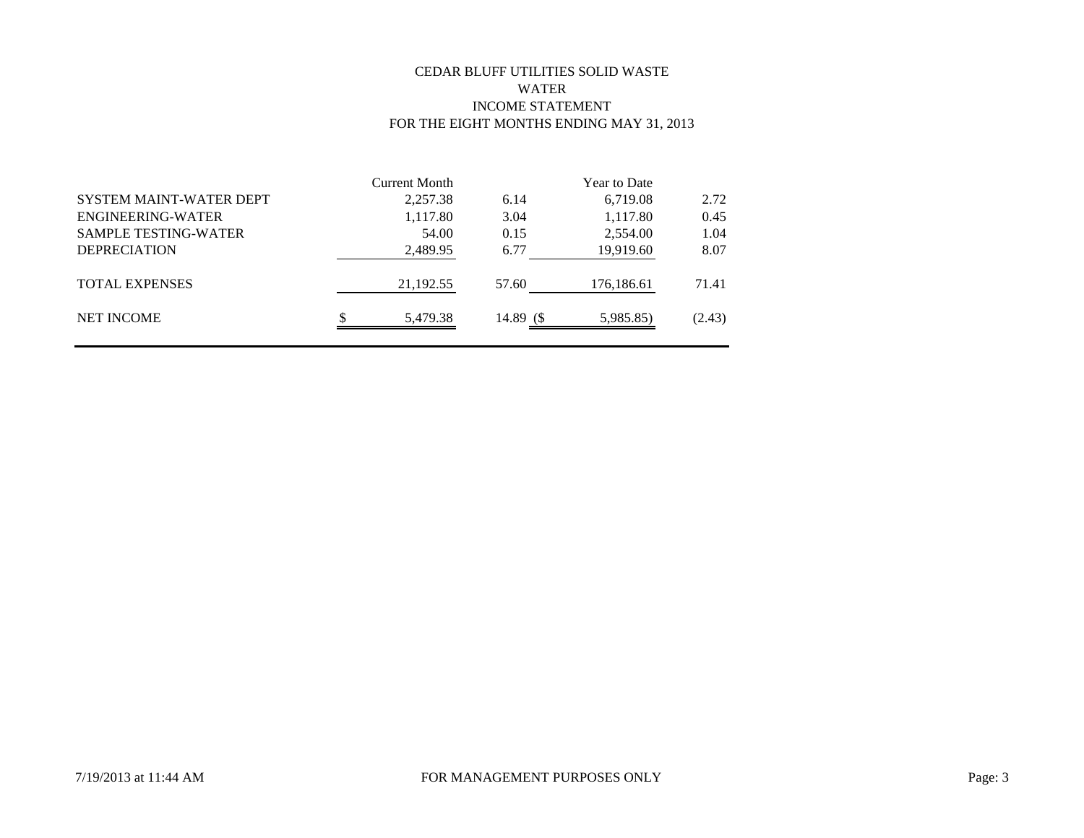# CEDAR BLUFF UTILITIES SOLID WASTE WATER INCOME STATEMENT FOR THE EIGHT MONTHS ENDING MAY 31, 2013

|                                | Current Month |            | <b>Year to Date</b> |        |
|--------------------------------|---------------|------------|---------------------|--------|
| <b>SYSTEM MAINT-WATER DEPT</b> | 2,257.38      | 6.14       | 6,719.08            | 2.72   |
| ENGINEERING-WATER              | 1,117.80      | 3.04       | 1,117.80            | 0.45   |
| <b>SAMPLE TESTING-WATER</b>    | 54.00         | 0.15       | 2,554.00            | 1.04   |
| <b>DEPRECIATION</b>            | 2,489.95      | 6.77       | 19,919.60           | 8.07   |
| <b>TOTAL EXPENSES</b>          | 21,192.55     | 57.60      | 176,186.61          | 71.41  |
| <b>NET INCOME</b>              | 5,479.38      | 14.89 $\$$ | 5,985.85)           | (2.43) |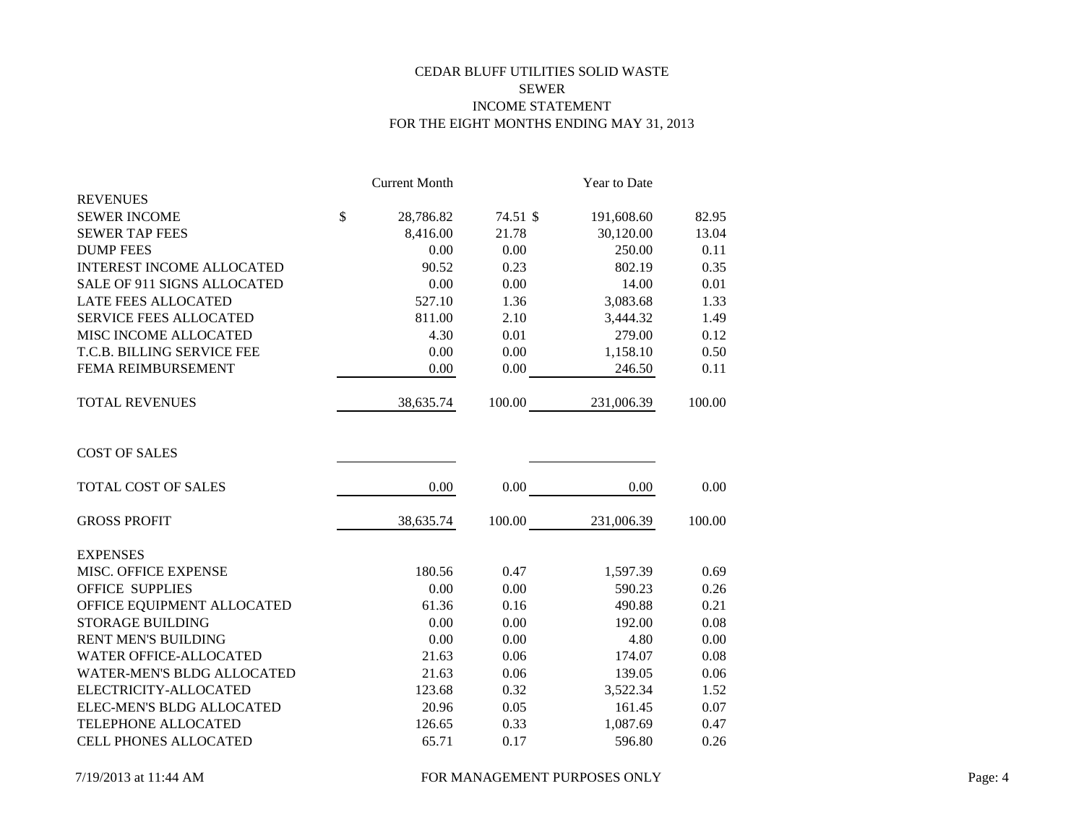# CEDAR BLUFF UTILITIES SOLID WASTE SEWER INCOME STATEMENT FOR THE EIGHT MONTHS ENDING MAY 31, 2013

|                                  |               | <b>Current Month</b> |          | Year to Date |        |
|----------------------------------|---------------|----------------------|----------|--------------|--------|
| <b>REVENUES</b>                  |               |                      |          |              |        |
| <b>SEWER INCOME</b>              | $\mathcal{S}$ | 28,786.82            | 74.51 \$ | 191,608.60   | 82.95  |
| <b>SEWER TAP FEES</b>            |               | 8,416.00             | 21.78    | 30,120.00    | 13.04  |
| <b>DUMP FEES</b>                 |               | 0.00                 | 0.00     | 250.00       | 0.11   |
| <b>INTEREST INCOME ALLOCATED</b> |               | 90.52                | 0.23     | 802.19       | 0.35   |
| SALE OF 911 SIGNS ALLOCATED      |               | 0.00                 | 0.00     | 14.00        | 0.01   |
| <b>LATE FEES ALLOCATED</b>       |               | 527.10               | 1.36     | 3,083.68     | 1.33   |
| <b>SERVICE FEES ALLOCATED</b>    |               | 811.00               | 2.10     | 3,444.32     | 1.49   |
| MISC INCOME ALLOCATED            |               | 4.30                 | 0.01     | 279.00       | 0.12   |
| T.C.B. BILLING SERVICE FEE       |               | 0.00                 | 0.00     | 1,158.10     | 0.50   |
| FEMA REIMBURSEMENT               |               | 0.00                 | 0.00     | 246.50       | 0.11   |
| <b>TOTAL REVENUES</b>            |               | 38,635.74            | 100.00   | 231,006.39   | 100.00 |
| <b>COST OF SALES</b>             |               |                      |          |              |        |
| TOTAL COST OF SALES              |               | 0.00                 | 0.00     | 0.00         | 0.00   |
| <b>GROSS PROFIT</b>              |               | 38,635.74            | 100.00   | 231,006.39   | 100.00 |
| <b>EXPENSES</b>                  |               |                      |          |              |        |
| MISC. OFFICE EXPENSE             |               | 180.56               | 0.47     | 1,597.39     | 0.69   |
| <b>OFFICE SUPPLIES</b>           |               | 0.00                 | 0.00     | 590.23       | 0.26   |
| OFFICE EQUIPMENT ALLOCATED       |               | 61.36                | 0.16     | 490.88       | 0.21   |
| <b>STORAGE BUILDING</b>          |               | 0.00                 | 0.00     | 192.00       | 0.08   |
| <b>RENT MEN'S BUILDING</b>       |               | 0.00                 | 0.00     | 4.80         | 0.00   |
| <b>WATER OFFICE-ALLOCATED</b>    |               | 21.63                | 0.06     | 174.07       | 0.08   |
| WATER-MEN'S BLDG ALLOCATED       |               | 21.63                | 0.06     | 139.05       | 0.06   |
| ELECTRICITY-ALLOCATED            |               | 123.68               | 0.32     | 3,522.34     | 1.52   |
| ELEC-MEN'S BLDG ALLOCATED        |               | 20.96                | 0.05     | 161.45       | 0.07   |
| TELEPHONE ALLOCATED              |               | 126.65               | 0.33     | 1,087.69     | 0.47   |
| <b>CELL PHONES ALLOCATED</b>     |               | 65.71                | 0.17     | 596.80       | 0.26   |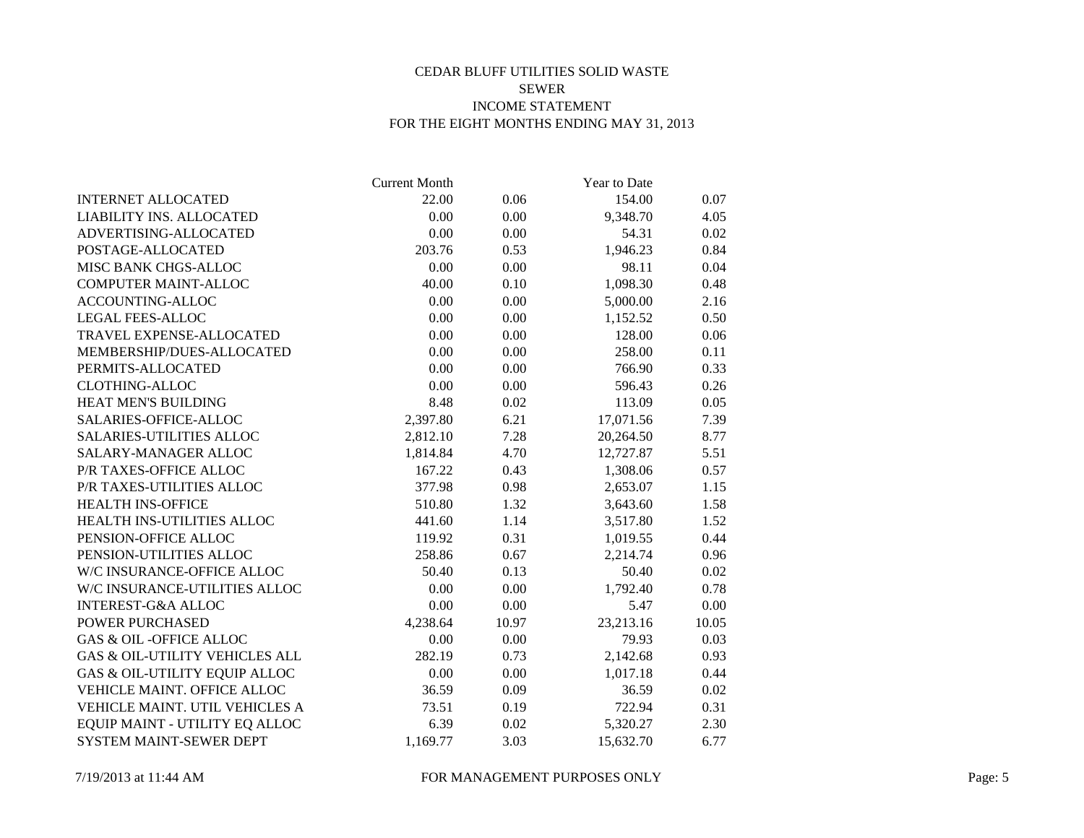# CEDAR BLUFF UTILITIES SOLID WASTE SEWER INCOME STATEMENT FOR THE EIGHT MONTHS ENDING MAY 31, 2013

|                                           | <b>Current Month</b> |          | Year to Date |       |
|-------------------------------------------|----------------------|----------|--------------|-------|
| <b>INTERNET ALLOCATED</b>                 | 22.00                | 0.06     | 154.00       | 0.07  |
| LIABILITY INS. ALLOCATED                  | 0.00                 | 0.00     | 9,348.70     | 4.05  |
| ADVERTISING-ALLOCATED                     | 0.00                 | 0.00     | 54.31        | 0.02  |
| POSTAGE-ALLOCATED                         | 203.76               | 0.53     | 1,946.23     | 0.84  |
| MISC BANK CHGS-ALLOC                      | 0.00                 | 0.00     | 98.11        | 0.04  |
| COMPUTER MAINT-ALLOC                      | 40.00                | $0.10\,$ | 1,098.30     | 0.48  |
| ACCOUNTING-ALLOC                          | 0.00                 | 0.00     | 5,000.00     | 2.16  |
| <b>LEGAL FEES-ALLOC</b>                   | 0.00                 | 0.00     | 1,152.52     | 0.50  |
| TRAVEL EXPENSE-ALLOCATED                  | 0.00                 | 0.00     | 128.00       | 0.06  |
| MEMBERSHIP/DUES-ALLOCATED                 | 0.00                 | $0.00\,$ | 258.00       | 0.11  |
| PERMITS-ALLOCATED                         | 0.00                 | 0.00     | 766.90       | 0.33  |
| <b>CLOTHING-ALLOC</b>                     | 0.00                 | 0.00     | 596.43       | 0.26  |
| HEAT MEN'S BUILDING                       | 8.48                 | 0.02     | 113.09       | 0.05  |
| SALARIES-OFFICE-ALLOC                     | 2,397.80             | 6.21     | 17,071.56    | 7.39  |
| <b>SALARIES-UTILITIES ALLOC</b>           | 2,812.10             | 7.28     | 20,264.50    | 8.77  |
| <b>SALARY-MANAGER ALLOC</b>               | 1,814.84             | 4.70     | 12,727.87    | 5.51  |
| P/R TAXES-OFFICE ALLOC                    | 167.22               | 0.43     | 1,308.06     | 0.57  |
| P/R TAXES-UTILITIES ALLOC                 | 377.98               | 0.98     | 2,653.07     | 1.15  |
| <b>HEALTH INS-OFFICE</b>                  | 510.80               | 1.32     | 3,643.60     | 1.58  |
| HEALTH INS-UTILITIES ALLOC                | 441.60               | 1.14     | 3,517.80     | 1.52  |
| PENSION-OFFICE ALLOC                      | 119.92               | 0.31     | 1,019.55     | 0.44  |
| PENSION-UTILITIES ALLOC                   | 258.86               | 0.67     | 2,214.74     | 0.96  |
| W/C INSURANCE-OFFICE ALLOC                | 50.40                | 0.13     | 50.40        | 0.02  |
| W/C INSURANCE-UTILITIES ALLOC             | 0.00                 | 0.00     | 1,792.40     | 0.78  |
| <b>INTEREST-G&amp;A ALLOC</b>             | 0.00                 | 0.00     | 5.47         | 0.00  |
| <b>POWER PURCHASED</b>                    | 4,238.64             | 10.97    | 23,213.16    | 10.05 |
| <b>GAS &amp; OIL-OFFICE ALLOC</b>         | 0.00                 | 0.00     | 79.93        | 0.03  |
| <b>GAS &amp; OIL-UTILITY VEHICLES ALL</b> | 282.19               | 0.73     | 2,142.68     | 0.93  |
| GAS & OIL-UTILITY EQUIP ALLOC             | 0.00                 | 0.00     | 1,017.18     | 0.44  |
| VEHICLE MAINT. OFFICE ALLOC               | 36.59                | 0.09     | 36.59        | 0.02  |
| VEHICLE MAINT. UTIL VEHICLES A            | 73.51                | 0.19     | 722.94       | 0.31  |
| EQUIP MAINT - UTILITY EQ ALLOC            | 6.39                 | 0.02     | 5,320.27     | 2.30  |
| SYSTEM MAINT-SEWER DEPT                   | 1,169.77             | 3.03     | 15,632.70    | 6.77  |